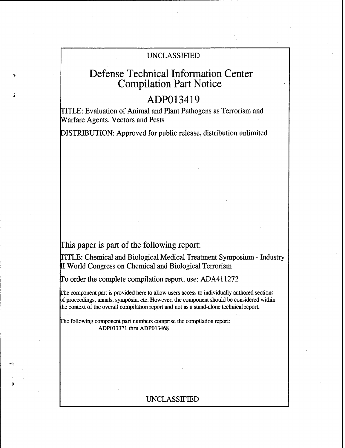# UNCLASSIFIED

# Defense Technical Information Center Compilation Part Notice

# ADP013419

ITLE: Evaluation of Animal and Plant Pathogens as Terrorism and Warfare Agents, Vectors and Pests

DISTRIBUTION: Approved for public release, distribution unlimited

This paper is part of the following report:

TITLE: Chemical and Biological Medical Treatment Symposium - Industry **<sup>11</sup>**World Congress on Chemical and Biological Terrorism

To order the complete compilation report, use: ADA411272

rhe component part is provided here to allow users access to individually authored sections of proceedings, annals, symposia, etc. However, the component should be considered within the context of the overall compilation report and not as a stand-alone technical report.

The following component part numbers comprise the compilation report: ADP013371 thru ADP013468

# UNCLASSIFIED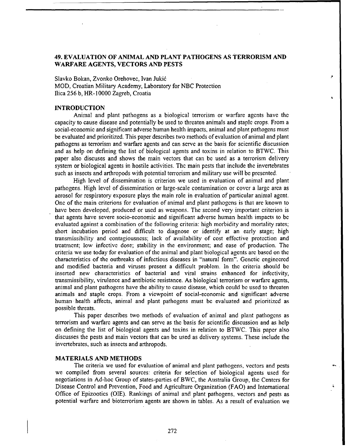## 49. **EVALUATION** OF **ANIMAL AND PLANT PATHOGENS AS** TERRORISM **AND** WARFARE **AGENTS,** VECTORS **AND PESTS**

Slavko Bokan, Zvonko Orehovec, Ivan Jukid MOD, Croatian Military Academy, Laboratory for NBC Protection Ilica 256 b, **HR-10000** Zagreb, Croatia

### **INTRODUCTION**

Animal and plant pathogens as a biological terrorism or warfare agents have the capacity to cause disease and potentially be used to threaten animals and staple crops. From a social-economic and significant adverse human health impacts, animal and plant pathogens must be evaluated and prioritized. This paper describes two methods of evaluation of animal and plant pathogens as terrorism and warfare agents and can serve as the basis for scientific discussion and as help on defining the list of biological agents and toxins in relation to BTWC. This paper also discuses and shows the main vectors that can be used as a terrorism delivery system or biological agents in hostile activities. The main pests that include the invertebrates such as insects and arthropods with potential terrorism and military use will be presented.

High level of dissemination is criterion we used in evaluation of animal and plant pathogens. High level of dissemination or large-scale contamination or cover a large area as aerosol for respiratory exposure plays the main role in evaluation of particular animal agent. One of the main criterions for evaluation of animal and plant pathogens is that are known to have been developed, produced or used as weapons. The second very important criterion is that agents have severe socio-economic and significant adverse human health impacts to **be** evaluated against a combination of the following criteria: high morbidity and mortality rates; short incubation period and difficult to diagnose or identify at an early stage; high transmissibility and contagiousness; lack of availability of cost effective protection and treatment; low infective dose; stability in the environment; and ease of production. The criteria we use today for evaluation of the animal and plant biological agents are based on the characteristics of the outbreaks of infectious diseases in "natural form". Genetic engineered and modified bacteria and viruses present a difficult problem. In the criteria should be inserted new characteristics of bacterial and viral strains enhanced for infectivity, transmissibility, virulence and antibiotic resistance. As biological terrorism or warfare agents, animal and plant pathogens have the ability to cause disease, which could be used to threaten animals and staple crops. From a viewpoint of social-economic and significant adverse human health affects, animal and plant pathogens must be evaluated and prioritized as possible threats.

This paper describes two methods of evaluation of animal and plant pathogens as terrorism and warfare agents and can serve as the basis for scientific discussion and as help on defining the list of biological agents and toxins in relation to BTWC. This paper also discusses the pests and main vectors that can be used as delivery systems. These include the invertebrates, such as insects and arthropods.

### MATERIALS **AND METHODS**

The criteria we used for evaluation of animal and plant pathogens, vectors and pests we compiled from several sources: criteria for selection of biological agents used for negotiations in Ad-hoc Group of states-parties of BWC, the Australia Group, the Centers for Disease Control and Prevention, Food and Agriculture Organization (FAO) and International Office of Epizootics (OIE). Rankings of animal and plant pathogens, vectors and pests as potential warfare and bioterrorism agents are shown in tables. As a result of evaluation we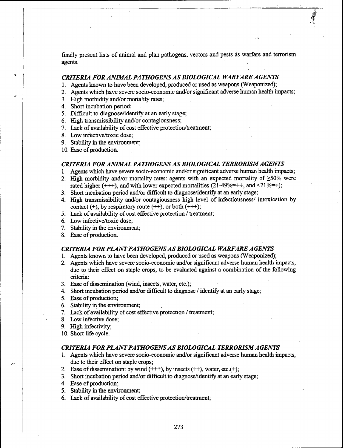finally present lists of animal and plan pathogens, vectors and pests as warfare and terrorism agents.

### *CRITERIA FOR ANIMAL PA THOGENS AS BIOLOGICAL WARFARE A GENTS*

- 1. Agents known to have been developed, produced or used as weapons (Weaponized);
- 2. Agents which have severe socio-economic and/or significant adverse human health impacts;
- 3. High morbidity and/or mortality rates;
- 4. Short incubation period;
- *5.* Difficult to diagnose/identify at an early stage;
- 6. High transmissibility and/or contagiousness;
- 7. Lack of availability of cost effective protection/treatment;
- 8. Low infective/toxic dose;
- 9. Stability in the environment;
- 10. Ease of production.

### *CRITERIA FOR ANIMAL PA THOGENS AS BIOLOGICAL TERRORISM AGENTS*

- 1. Agents which have severe socio-economic and/or significant adverse human health impacts;
- 2. High morbidity and/or mortality rates: agents with an expected mortality of  $\geq$ 50% were rated higher  $(++)$ , and with lower expected mortalities  $(21-49\%=++)$ ; and  $(21\%=+)$ ;
- 3. Short incubation period and/or difficult to diagnose/identify at an early stage;
- 4. High transmissibility and/or contagiousness high level of infectiousness/ intoxication by contact  $(+)$ , by respiratory route  $(++)$ , or both  $(++)$ ;
- *5.* Lack of availability of cost effective protection / treatment;
- 6. Low infective/toxic dose;
- 7. Stability in the environment;
- 8. Ease of production.

### *CRITERIA FOR PLANT PA THOGENS AS BIOLOGICAL WARFARE A GENTS*

- 1. Agents known to have been developed, produced or used as weapons (Weaponized);
- 2. Agents which have severe socio-economic and/or significant adverse human health impacts, due to their effect on staple crops, to be evaluated against a combination of the following criteria:
- 3. Ease of dissemination (wind, insects, water, etc.);
- 4. Short incubation period and/or difficult to diagnose / identify at an early stage;
- *5.* Ease of production;
- 6. Stability in the environment;
- 7. Lack of availability of cost effective protection / treatment;
- 8. Low infective dose;
- 9. High infectivity;
- 10. Short life cycle.

### *CRITERIA FOR PLANT PA THOGENS AS BIOLOGICAL TERRORISMAGENTS*

- 1. Agents which have severe socio-economic and/or significant adverse human health impacts, due to their effect on staple crops;
- 2. Ease of dissemination: by wind **(+++),** by insects **(++),** water, etc.(+);
- 3. Short incubation period and/or difficult to diagnose/identify at an early stage;
- 4. Ease of production;
- *5.* Stability in the environment;
- 6. Lack of availability of cost effective protection/treatment;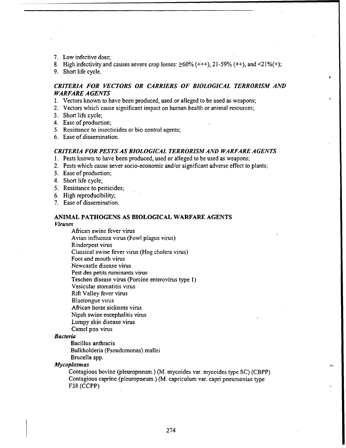- 7. Low infective dose;
- 8. High infectivity and causes severe crop losses:  $\geq 60\%$  (+++), 21-59% (++), and <21%(+);

9. Short life cycle.

## *CRITERIA FOR VECTORS OR CARRIERS OF BIOLOGICAL TERRORISM AND WARFARE A GENTS*

- 1. Vectors known to have been produced, used or alleged to be used as weapons;
- 2. Vectors which cause significant impact on human health or animal resources;
- 3. Short life cycle;
- 4. Ease of production;
- **5.** Resistance to insecticides or bio control agents;
- 6. Ease of dissemination.

### *CRITERIA FOR PESTS AS BIOLOGICAL TERRORISM AND WARFARE A GENTS*

- 1. Pests known to have been produced, used or alleged to be used as weapons;
- 2. Pests which cause sever socio-economic and/or significant adverse effect to plants;
- 3. Ease of production;
- 4. Short life cycle;
- *5.* Resistance to pesticides;
- 6. High reproducibility;
- 7. Ease of dissemination.

# **ANIMAL PATHOGENS AS BIOLOGICAL** WARFARE **AGENTS**

*Viruses*

African swine fever virus

Avian influenza virus (Fowl plague virus)

Rinderpest virus

Classical swine fever virus (Hog cholera virus)

Foot and mouth virus

Newcastle disease virus

Pest des petits ruminants virus

Teschen disease virus (Porcine enterovirus type I)

- Vesicular stomatitis virus
- Rift Valley fever virus

Bluetongue virus

African horse sickness virus

Nipah swine encephalitis virus

Lumpy skin disease virus

Camel pox virus

### *Bacteria*

Bacillus anthracis

Bulkholderia (Pseudomonas) mallei

Brucella spp.

*Mycoplasmas*

Contagious bovine (pleuropneum.) (M. mycoides var. mycoides type SC) (CBPP) Contagious caprine (pleuropneum.) (M. capriculum var. capri pneumoniae type F38 (CCPP)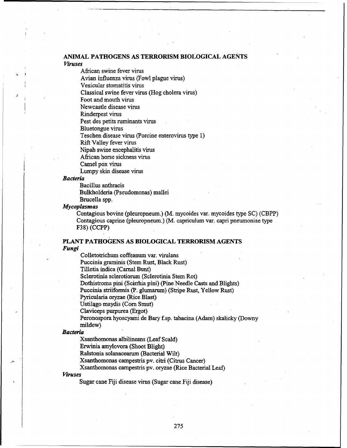### **ANIMAL PATHOGENS AS** TERRORISM BIOLOGICAL **AGENTS** *Viruses*

African swine fever virus

Avian influenza virus (Fowl plague virus)

Vesicular stomatitis virus

Classical swine fever virus (Hog cholera virus)

Foot and mouth virus

Newcastle disease virus

Rinderpest virus

Pest des petits ruminants virus

Bluetongue virus

Teschen disease virus (Porcine enterovirus type 1)

Rift Valley fever virus

Nipah swine encephalitis virus

African horse sickness virus

Camel pox virus

Lumpy skin disease virus

### *Bacteria*

Bacillus anthracis

Bulkholderia (Pseudomonas) mallei

Brucella spp.

### *Mycoplasmas*

Contagious bovine (pleuropneum.) (M. mycoides var. mycoides type SC) (CBPP) Contagious caprine (pleuropneum.) (M. capriculum var. capri pneumoniae type F38) (CCPP)

### **PLANT PATHOGENS AS** BIOLOGICAL TERRORISM **AGENTS** *Fungi*

Colletotrichum coffeanum var. virulans Puccinia graminis (Stem Rust, Black Rust) Tilletia indica (Carnal Bunt) Sclerotinia selerotiorum (Sclerotinia Stem Rot) Dothistroma pini (Scirrhia pini) (Pine Needle Casts and Blights) Puccinia striiformis (P. glumarum) (Stripe Rust, Yellow Rust) Pyricularia oryzae (Rice Blast) Ustil4go maydis (Corn Smut) Claviceps purpurea (Ergot) Peronospora hyoscyami de Bary f.sp. tabacina (Adam) skalicky (Downy

mildew)

### *Bacteria*

Xsanthomonas albilineans (Leaf Scald)

Erwinia amylovora (Shoot Blight)

Ralstonia solanacearum (Bacterial Wilt)

Xsanthomonas campestris pv. citri (Citrus Cancer)

Xsanthomonas campestris pv. oryzae (Rice Bacterial Leaf)

### *Viruses*

Sugar cane Fiji disease virus (Sugar cane Fiji disease)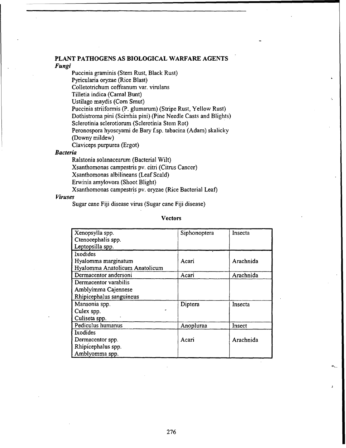### **PLANT PATHOGENS AS BIOLOGICAL WARFARE AGENTS** *Fungi*

Puccinia graminis (Stem Rust, Black Rust) Pyricularia oryzae (Rice Blast) Colletotrichum coffeanum var. virulans Tilletia indica (Carnal Bunt) Ustilago maydis (Corn Smut) Puccinia *striiformnis* (P. glumarum) (Stripe Rust, Yellow Rust) Dothistroma pini (Scirrhia pini) (Pine Needle Casts and Blights) Sclerotinia scierotiorum (Sclerotinia Stem Rot) Peronospora hyoscyami de Bary **f.** sp. tabacina (Adam) skalicky (Downy mildew) Claviceps purpurea (Ergot)

### *Bacteria*

Ralstonia solanacearum (Bacterial Wilt)

Xsanthomonas campestris pv. citri (Citrus Cancer)

Xsanthomonas albilineans (Leaf Scald)

Erwinia amylovora (Shoot Blight)

Xsanthomnonas campestri§ pv. oryzae (Rice Bacterial Leaf)

### *Viruses*

Sugar cane **Fiji** disease virus (Sugar cane **Fiji** disease)

### **Vectors**

| Xenopsylla spp.                | Siphonoptera | Insecta   |
|--------------------------------|--------------|-----------|
| Ctenocephalis spp.             |              |           |
| Leptopsilla spp.               |              |           |
| Ixodides                       |              |           |
| Hyalomma marginatum            | Acari        | Arachnida |
| Hyalomma Anatolicum Anatolicum |              |           |
| Dermacentor andersoni          | Acari        | Arachnida |
| Dermacentor varabilis          |              |           |
| Amblyimma Cajennese            |              |           |
| Rhipicephalus sanguineus       |              |           |
| Mansonia spp.                  | Diptera      | Insecta   |
| Culex spp.                     |              |           |
| Culiseta spp.                  |              |           |
| Pediculus humanus              | Anopluraa    | Insect    |
| Ixodides                       |              |           |
| Dermacentor spp.               | Acari        | Arachnida |
| Rhipicephalus spp.             |              |           |
| Amblyomma spp.                 |              |           |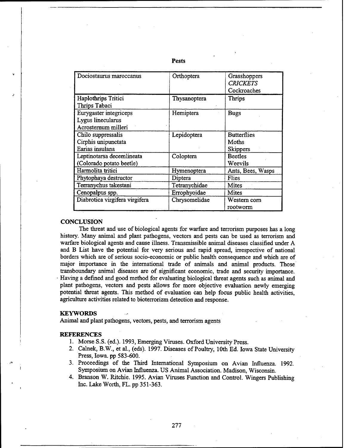| Dociostaurus maroccanus        | Orthoptera    | Grasshoppers       |
|--------------------------------|---------------|--------------------|
|                                |               | <b>CRICKETS</b>    |
|                                |               | Cockroaches        |
| Haplothrips Tritici            | Thysanoptera  | Thrips             |
| Thrips Tabaci                  |               |                    |
| Eurygaster integriceps         | Hemiptera     | <b>Bugs</b>        |
| Lygus linecularus              |               |                    |
| Acrosternum milleri            |               |                    |
| Chilo suppressalis             | Lepidoptera   | <b>Butterflies</b> |
| Cirphis unipunctata            |               | Moths              |
| Earias insulana                |               | <b>Skippers</b>    |
| Leptinotarsa decemlineata      | Coloptera     | <b>Beetles</b>     |
| (Colorado potato beetle)       |               | Weevils            |
| Harmolita tritici              | Hymenoptera   | Ants, Bees, Wasps  |
| Phytophaya destructor          | Diptera       | Flies              |
| Terranychus takestani          | Tetranychidae | Mites              |
| Cenopalpus spp.                | Errophyoidae  | Mites              |
| Diabrotica virgifera virgifera | Chrysomelidae | Western corn       |
|                                |               | rootworm           |

### Pests

## **CONCLUSION**

The threat and use of biological agents for warfare and terrorism purposes has a long history. Many animal and plant pathogens, vectors and pests can be used as terrorism and warfare biological agents and cause illness. Transmissible animal diseases classified under A and B List have the potential for very serious and rapid spread, irrespective of national borders which are of serious socio-economic or public health consequence and which are of major importance in the international trade of animals and animal products. Those transboundary animal diseases are of significant economic, trade and security importance. Having a defined and good method for evaluating biological threat agents such as animal and plant pathogens, vectors and pests allows for more objective evaluation newly emerging potential threat agents. This method of evaluation can help focus public health activities, agriculture activities related to bioterrorizm detection and response.

### KEYWORDS

Animal and plant pathogens, vectors, pests, and terrorism agents

### REFERENCES

- 1. Morse **S.S.** (ed.). 1993, Emerging Viruses. Oxford University Press.
- 2. Calnek, B.W., et al., (eds). 1997. Diseases of Poultry, 10th Ed. Iowa State University Press, Iowa. pp 583-600.
- 3. Proceedings of the Third International Symposium on Avian Influenza. 1992. Symposium on Avian Influenza. US Animal Association. Madison, Wisconsin.
- 4. Branson W. Ritchie. 1995. Avian Viruses Function and Control. Wingers Publishing Inc. Lake Worth, FL. pp 351-363.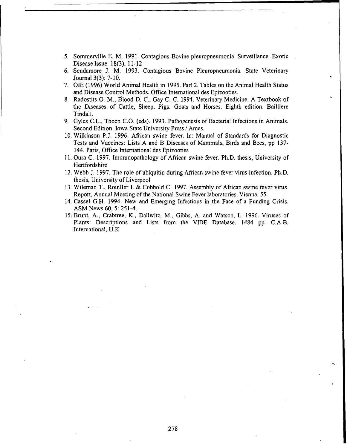- *5.* Sommerville E. M. 1991. Contagious Bovine pleuropneumonia: Surveillance. Exotic Disease Issue. 18(3): 11-12
- 6. Scudamore J. M. 1993. Contagious Bovine Pleuropneumonia. State Veterinary Journal 3(3): 7-10.
- 7. **OIE** (1996) World Animal Health in 1995. Part 2. Tables on the Animal Health Status and Disease Control Methods. Office International des Epizooties.
- 8. Radostits **0.** M., Blood D. C., Gay C. C. 1994. Veterinary Medicine: A Textbook of the Diseases of Cattle, Sheep, Pigs, Goats and Horses. Eighth edition. Bailliere Tindall.
- 9. Gylcs C.L., Thocn C.O. (eds). 1993. Pathogenesis of Bacterial Infections in Animals. Second Edition. Iowa State University Press / Ames.
- 10. Wilkinson P.J. 1996. African swine fever. In: Manual of Standards for Diagnostic Tests and Vaccines: Lists A and B Diseases of Mammals, Birds and Bees, pp 137- 144. Paris, Office International des Epizooties
- 11. Oura C. 1997. Immunopathology of African swine fever. Ph.D. thesis, University of **Hertfordshire**
- 12. Webb J. 1997. The role of ubiquitin during African swine fever virus infection. Ph.D. thesis, University of Liverpool
- 13. Wileman T., Rouiller I. & Cobbold C. 1997. Assembly of African swine fever virus. Report, Annual Meeting of the National Swine Fever laboratories, Vienna, 55.
- 14. Cassel G.H. 1994. New and Emerging Infections in the Face of a Funding Crisis. ASM News 60, 5: 251-4.
- 15. Brunt, A., Crabtree, K., Dallwitz, M., Gibbs, A. and Watson, L. 1996. Viruses of Plants: Descriptions and Lists from the VIDE Database. 1484 pp. C.A.B. International, U.K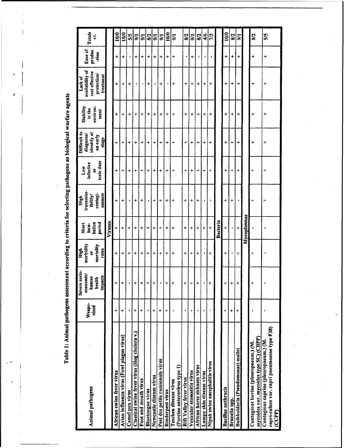Table 1: Animal pathogens assessment according to criteria for selecting pathogens as biological warfare agents

 $\ddot{\phantom{0}}$ 

 $\overline{1}$  $\bar{\rm I}$ 

 $\mathbf{v}$ 

 $\ddot{\phantom{a}}$ 

| <b>Animal pathogens</b>                                                                                                                    | Weapo-<br>nized      | Severe socio-<br>economic/<br>impacts<br>human<br>health | morbidity<br>mortality<br>rates<br>High<br>ă | bation<br>period<br>Short<br>incu- | transmiss-<br>contagi-<br>ousness<br>tbility/<br>High | toxic dose<br>infective<br>Low<br>ä | Difficult to<br>identify at<br>diagnose/<br>an early<br>stage | Stability<br>environ-<br>in the<br>ment | availability of<br>cost effective<br>protection/<br>treatment<br>Lack of | Ease of<br>produc<br>-tion | <b>Totals</b><br>$\ddagger$ |
|--------------------------------------------------------------------------------------------------------------------------------------------|----------------------|----------------------------------------------------------|----------------------------------------------|------------------------------------|-------------------------------------------------------|-------------------------------------|---------------------------------------------------------------|-----------------------------------------|--------------------------------------------------------------------------|----------------------------|-----------------------------|
|                                                                                                                                            |                      |                                                          |                                              | Viruses                            |                                                       |                                     |                                                               |                                         |                                                                          |                            |                             |
| African swine fever virus                                                                                                                  | $\ddot{\phantom{1}}$ | $\div$                                                   | +                                            | +                                  | +                                                     | $\,{}^+$                            | $\div$                                                        | +                                       | ÷                                                                        | +                          | <b>S</b>                    |
| Avian influenza virus (Fowl plague virus)                                                                                                  | ÷                    | ÷                                                        | +                                            | 4                                  | $\ddot{}$                                             | +                                   | $\ddot{}$                                                     | $\ddot{}$                               | $\,$                                                                     | $\,{}^+$                   | <b>S</b>                    |
| Camel pox virus                                                                                                                            | 1                    | $\bullet$                                                | $\div$                                       | +                                  | ٠                                                     | +                                   | +                                                             | $\ddag$                                 | +                                                                        | 1                          | 5/5                         |
| Classical swine fever virus (Hog cholera v.)                                                                                               | $\ddag$              | $\ddot{}$                                                | ÷                                            | +                                  | +                                                     | +                                   | ÷                                                             | 4                                       | ¢                                                                        | $\ddot{}$                  | 5 <sup>1</sup>              |
| Foot and mouth virus                                                                                                                       | $\div$               | +                                                        | +                                            | +                                  | +                                                     | ÷                                   | $\ddot{}$                                                     | $\ddot{}$                               | ŧ                                                                        | +                          | $\overline{5}$              |
| <b>Bluetongue virus</b>                                                                                                                    | $\bullet$            | $+$                                                      | $\ddot{}$                                    | +                                  | ٠                                                     | +                                   | ┿                                                             | +                                       | $\ddot{}$                                                                | +                          | 8/2                         |
| Newcastle disease virus                                                                                                                    | +                    | +                                                        | +                                            | +                                  | $\,{}^+$                                              | +                                   | ÷                                                             | $\ddag$                                 | ٠                                                                        | $\ddot{}$                  | $\overline{\mathbf{5}}$     |
| Pest des petits ruminants virus                                                                                                            | $\pmb{+}$            | ŧ                                                        | ÷                                            | $\,$                               | +                                                     | +                                   | +                                                             | $\ddot{}$                               | $\ddot{}$                                                                | ÷                          | 5/1                         |
| Rinderpest virus                                                                                                                           | $\ddot{}$            | $\ddag$                                                  | $\ddag$                                      | +                                  | +                                                     | +                                   | +                                                             | +                                       | 1                                                                        | +                          | 10/0                        |
| ٠<br>(Porcine enterovirus type 1)<br>Teschen disease virus                                                                                 |                      | $\ddot{}$                                                | +                                            | +                                  | $\ddot{}$                                             | $\ddot{}$                           | ÷                                                             | $\, +$                                  | $\ddag$                                                                  | +                          | $\overline{5}$              |
| Rift Valley fever virus                                                                                                                    |                      | $\pmb{+}$                                                | ÷                                            | +                                  | +                                                     | +                                   | $\ddot{}$                                                     | +                                       | +                                                                        | ł.                         | 8/2                         |
| Vesicular stomatitis virus                                                                                                                 | $\pmb{\cdot}$        | +                                                        | $\,{}^+$                                     | +                                  | $\div$                                                | $\ddot{\phantom{1}}$                | ÷                                                             | +                                       | +                                                                        | $\ddot{}$                  | $\frac{1}{2}$               |
| ŧ<br>African horse sickness virus                                                                                                          |                      | +                                                        | ÷                                            | +                                  | $\,{}^+$                                              | ÷                                   | $\ddot{}$                                                     | ÷                                       | +                                                                        | $\mathbf{r}$               | 8/2                         |
| Lumpy skin disease virus                                                                                                                   | $\mathbf{I}$         |                                                          | ٠                                            | $\ddot{}$                          | $\ddot{\phantom{a}}$                                  | ÷                                   | +                                                             | +                                       | +                                                                        | $\blacksquare$             | 4/6                         |
| ï<br>Nipah swine encephalitis virus                                                                                                        |                      | ÷                                                        | $\ddot{}$                                    | $\ddot{}$                          | 1                                                     | $\ddot{}$                           | $\ddot{}$                                                     | $\ddot{}$                               | $+$                                                                      | p                          | 7/3                         |
|                                                                                                                                            |                      |                                                          |                                              | Bacteria                           |                                                       |                                     |                                                               |                                         |                                                                          |                            |                             |
| <b>Bacillus</b> anthracis                                                                                                                  | $\ddot{}$            | ×                                                        | $\,{}^+$                                     | +                                  | +                                                     | ÷                                   | ÷                                                             | $\ddot{}$                               | +                                                                        | 4                          | $\frac{8}{2}$               |
| Brucella spp.                                                                                                                              | $\ddot{}$            | +                                                        | $\pmb{\mathfrak{t}}$                         | ı                                  | +                                                     | ÷                                   | $\ddot{}$                                                     | +                                       | $\ddot{}$                                                                | $\div$                     | 8/2                         |
| $\ddagger$<br>Bulkholderia (Pseudomonas) mallei                                                                                            |                      | +                                                        | ÷                                            | $\ddot{}$                          | ٠                                                     | $\ddag$                             | +                                                             | +                                       | $\div$                                                                   | $\ddag$                    | $5\overline{6}$             |
|                                                                                                                                            |                      |                                                          |                                              | Mycoplasmas                        |                                                       |                                     |                                                               |                                         |                                                                          |                            |                             |
| ٠<br>mycoides var. mycoides type SC) (CBPP)<br>Contagious bovine (pleuropneum.) (M.                                                        |                      | $\,^+$                                                   | ÷                                            |                                    | $\,$                                                  | +                                   | +                                                             | ÷                                       | ÷                                                                        | +                          | 8/2                         |
| ı<br>capri-culum var. capri pneumoniae type F38)<br>Contagious caprine (pleuropneum.) (M.<br>$\left(\mathbf{C}\mathbf{P}\mathbf{P}\right)$ |                      |                                                          |                                              | ٠                                  | $\div$                                                | +                                   | ÷                                                             | ÷                                       | ÷                                                                        | +                          | 5/5                         |

 $\hat{\boldsymbol{\beta}}$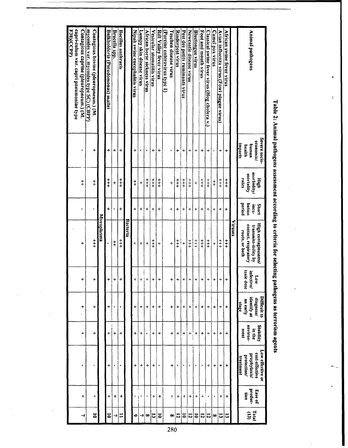| <b>Animal pathogens</b>                                                                              | Severe socio-<br>economic/<br><u>unpacts</u><br>unumq<br>health | morbidity/<br>mortality<br>High<br>rates | period<br>bation<br><b>Short</b><br>incu- | High contagiousness/<br>contact, respiratory<br>transmiss-ibility by<br>route, or both | infective/<br>toxic dose<br>Low | Difficult to<br>identify at<br>dingnose/<br>an early<br>stage | Stability<br>environ-<br>ment<br>in the   | Low clicciive or<br>cost-effective<br>prophylaxis/<br>protection/<br><u>treatment</u> | produc-<br>Ease of<br>Ŝ    | Total<br>$\mathbf{G}$ |
|------------------------------------------------------------------------------------------------------|-----------------------------------------------------------------|------------------------------------------|-------------------------------------------|----------------------------------------------------------------------------------------|---------------------------------|---------------------------------------------------------------|-------------------------------------------|---------------------------------------------------------------------------------------|----------------------------|-----------------------|
|                                                                                                      |                                                                 |                                          |                                           | Viruses                                                                                |                                 |                                                               |                                           |                                                                                       |                            |                       |
| African swine fever virus                                                                            | $\ddot{}$                                                       | $\ddagger$                               | +                                         | $\ddagger$                                                                             | +                               | +                                                             | ÷                                         | +                                                                                     | ۰                          | ជ                     |
| Avian influenza virus (Fowl plague virus)                                                            | +                                                               | $\ddagger$                               | $\div$                                    | $\ddagger$                                                                             | +                               | ÷                                                             | +                                         | +                                                                                     | +                          | ದ                     |
| Camel pox virus                                                                                      | $\blacksquare$                                                  | $\ddagger$                               | +                                         | $\ddot{}$                                                                              | +<br>H                          | $\ddot{}$                                                     | +                                         | $\ddot{}$                                                                             | $\bullet$                  | ∞                     |
| Classical swine fever virus (Hog cholera v.)                                                         | $\div$                                                          | $\frac{1}{1}$                            | $\div$                                    | $\ddagger$                                                                             | ÷                               | ÷                                                             | ÷                                         | ÷                                                                                     | $\vdots$<br>$\blacksquare$ | $\overline{5}$        |
| <b>Foot and mouth virus</b>                                                                          | +                                                               | $+1$                                     | +                                         | $\ddagger$                                                                             | +                               | +                                                             | +                                         | ٠                                                                                     | +                          | ឆ                     |
| Bluetongue virus                                                                                     | ÷                                                               | $\ddot{}$                                | ÷                                         | $\frac{1}{2}$                                                                          | ÷                               | ÷                                                             | +                                         | ٠                                                                                     | +                          | $\overline{\bullet}$  |
| Newcastle disease virus                                                                              | ÷                                                               | $\ddagger$                               | +                                         | $\ddagger$                                                                             | +                               | $\ddag$                                                       | ::::<br>$\ddot{}$<br>$\ddot{\phantom{a}}$ | $\pmb{\ast}$                                                                          | ÷                          | ឆ                     |
| Pest des petits ruminants virus                                                                      | +                                                               | $+$                                      | +                                         | $\ddot{}$                                                                              | +                               | $\ddot{}$                                                     | +                                         | r                                                                                     | +                          | ៑                     |
| Rinderpest virus                                                                                     | +                                                               | $\ddagger$                               | +                                         | ļ<br>$\ddagger$ !                                                                      | +                               | +                                                             | +                                         | ٠                                                                                     | +                          | ឆ                     |
| Teschen disease virus                                                                                | ٠                                                               | +                                        | 4                                         | $\,{}^+$                                                                               | +                               | +                                                             | +                                         | ÷                                                                                     | ÷                          | $\infty$              |
| (Porcine enterovirus type 1)                                                                         |                                                                 |                                          |                                           |                                                                                        |                                 |                                                               |                                           |                                                                                       |                            |                       |
| Rift Valley fever virus                                                                              | +                                                               | $\ddagger$                               | $\ddot{}$                                 | +                                                                                      | $\ddag$                         | $\ddot{}$                                                     | +                                         | $\bullet$                                                                             | +                          | $\overline{5}$        |
| Vesicular stomatitis virus                                                                           | $\ddot{}$                                                       | $\ddagger$                               | ÷                                         | $\ddagger$                                                                             | $\ddot{}$                       | +                                                             | ÷                                         | +                                                                                     | +                          | E,                    |
| <b>African horse sickness virus</b>                                                                  | ٠                                                               | $\ddagger$                               | $\ddot{}$                                 | $\ddot{}$                                                                              | +                               | +                                                             | ٠                                         | +                                                                                     | ٠                          | ∞                     |
| Lumpy skin disease virus                                                                             | ٠                                                               | +                                        | +                                         | $\ddot{}$                                                                              | $\ddot{}$                       | +                                                             | +                                         | +                                                                                     | 1<br>İ<br>t                | ڀ                     |
| Nipah swine encephalitis virus                                                                       | $\ddag$                                                         | $\ddagger$                               | $\div$                                    | 4                                                                                      | +                               | +                                                             | ÷                                         | 4                                                                                     | ŧ                          | ∘                     |
|                                                                                                      |                                                                 |                                          |                                           | Bacteria                                                                               |                                 |                                                               |                                           |                                                                                       |                            |                       |
| <b>Bacillus anthracis</b>                                                                            | +                                                               | $\ddagger$                               | +                                         | $\ddagger$                                                                             | +                               | p                                                             | $\ddot{}$                                 | $\blacksquare$                                                                        | +                          | Ξ                     |
| Brucella spp.                                                                                        | +                                                               | +                                        | ٠                                         | $\ddagger$                                                                             | $\ddot{}$                       | $\blacksquare$                                                | +                                         | $\mathbf{I}$                                                                          | +                          | د                     |
| Bulkholderia (Pseudomonas) mallei                                                                    | 4                                                               | $\frac{1}{1}$                            | $\ddot{}$                                 | $\bullet$                                                                              | +                               | +                                                             | +                                         | $\ddot{}$                                                                             | ÷                          | ត                     |
|                                                                                                      |                                                                 |                                          |                                           | Mycoplasma                                                                             |                                 |                                                               |                                           |                                                                                       |                            |                       |
| mycoides var. mycoides type SC) (CBPP)<br>Contagious bovine (pleuropneum.) (M.                       | +                                                               | $\ddagger$                               | ı,                                        | $\ddagger$                                                                             | +                               | +                                                             | +                                         | ٠                                                                                     | ÷                          | $\overline{5}$        |
| <b>F38)(CCPP)</b><br>capri-culum var. capri pneumoniae type<br>Contagious caprine (pleuropneum.) (M. | $\bullet$                                                       | $\ddagger$                               | $\pmb{\iota}$                             | +                                                                                      | ÷                               | +<br>$\ddot{\phantom{0}}$                                     | $\ddot{ }$ .                              | $\bullet$                                                                             | $\ddot{}$                  | ↵                     |
|                                                                                                      |                                                                 |                                          |                                           |                                                                                        |                                 |                                                               |                                           |                                                                                       |                            |                       |

Table 2: Animal pathogens assessment according to criteria for selecting pathogens as terrorism agents

 $\ddot{\phantom{0}}$ 

 $\ddot{\zeta}$ 

ø,

 $\mathbf{r}$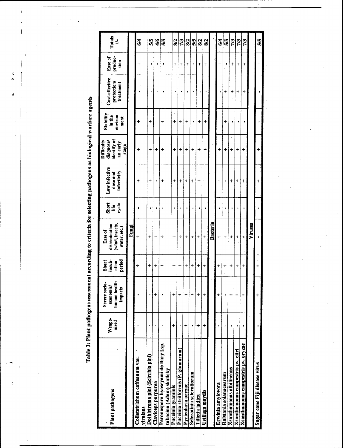Table 3: Plant pathogens assessment according to criteria for selecting pathogens as biological warfare agents

| Plant pathogens                                                 | Weapo-<br>nized | Severe socio-<br>human health<br>economic/<br>impacts | incub-<br>Short<br>period<br>ation | (wind, insects,<br>dissemination<br>water, etc.)<br>Ease of | Short<br>cycle<br>Life | Low infective<br>infectivity<br>dose and | identify at<br>Difficulty<br>diagnose/<br>an early<br>stage | <b>Stability</b><br>environ-<br>in the<br>ment | Cost-effective<br>protection/<br>treatment | Ease of<br>produc-<br>tion | Totals<br>$\div$ |
|-----------------------------------------------------------------|-----------------|-------------------------------------------------------|------------------------------------|-------------------------------------------------------------|------------------------|------------------------------------------|-------------------------------------------------------------|------------------------------------------------|--------------------------------------------|----------------------------|------------------|
|                                                                 |                 |                                                       |                                    | Fungi                                                       |                        |                                          |                                                             |                                                |                                            |                            |                  |
| Colletotrichum coffeanum var.<br>virulans                       |                 |                                                       | ÷                                  | +                                                           |                        |                                          |                                                             | +                                              |                                            | +                          | 5%               |
| Dothistroma pini (Scirrhia pini)                                | t               | ٠                                                     | +                                  | ÷                                                           | \$                     | $\ddot{}$                                | $\ddot{}$                                                   | +                                              | ٠                                          | ٠                          | 5/5              |
| Claviceps purpurea                                              |                 | $\ddot{}$                                             | +                                  | +                                                           |                        | $\blacksquare$                           | +                                                           | $\mathbf{I}$                                   | $\blacksquare$                             | 1                          | $\frac{4}{6}$    |
| Peronospora hyoscyami de Bary f.sp.<br>tabacina (Adam) skalicky |                 |                                                       | +                                  | +                                                           |                        | $\ddot{}$                                | 4                                                           | +                                              |                                            |                            | 5/5              |
| Puccinia graminis                                               | $\,{}^+$        | $\ddag$                                               | +                                  | $\div$                                                      | ŀ                      | ÷                                        | ÷                                                           | ÷                                              | $\bullet$                                  | $\ddot{}$                  | 8/2              |
| Puccinia strilformis (P. glumarum)                              |                 | $\,{}^+$                                              | $\,{}^+$                           | ÷                                                           |                        | $\div$                                   | +                                                           | +                                              | ٠                                          | $\ddot{}$                  | 7/3              |
| Pyricularia oryzae                                              | 4               | $\ddot{}$                                             | ÷                                  | ÷                                                           |                        | ÷                                        | $\ddot{}$                                                   | $\,{}^+$                                       | ٠                                          | ÷                          | 8/2              |
| Sclerotinia sclerotiorum                                        | ı               | $\ddot{}$                                             | +                                  | ÷                                                           | f,                     | $\,{}^+$                                 | +                                                           | ŧ                                              | $\blacksquare$                             | ¢                          | 5/5              |
| Tilletia indica                                                 | $\ddot{}$       | +                                                     | +                                  | +                                                           | ŧ                      | +                                        | +                                                           | +                                              | t                                          | +                          | 8/2              |
| Ustilago maydis                                                 | $\div$          | $\ddot{ }$                                            | +                                  | +                                                           |                        | $\div$                                   | ÷                                                           | +                                              | 1                                          | $\,{}^+$                   | 8/2              |
|                                                                 |                 |                                                       |                                    | <b>Bacteria</b>                                             |                        |                                          |                                                             |                                                |                                            |                            |                  |
| Erwinia amylovora                                               |                 | +                                                     | ÷                                  | ÷                                                           |                        | +                                        | +                                                           |                                                |                                            | $\ddot{}$                  | 24               |
| Ralstonia solanacearum                                          |                 | ł                                                     | +                                  | ÷                                                           |                        | ٠                                        | +                                                           | ÷                                              | $\ddag$                                    | $\bullet$                  | 5/5              |
| <b>Xsanthomonas</b> albilineans                                 | ı               | ÷                                                     | +                                  | ÷                                                           |                        | +                                        | ÷                                                           |                                                | +                                          | $\ddot{}$                  | 7/3              |
| Xsanthomonas campostris pv. citri                               |                 | +                                                     | +                                  | +                                                           |                        | +                                        | +                                                           |                                                | +                                          | $\ddot{}$                  | 7/3              |
| Xsanthomonas campestris pv. oryzae                              |                 | +                                                     | +                                  | +                                                           |                        | +                                        | ÷                                                           | ţ                                              | +                                          | +                          | 7/3              |
|                                                                 |                 |                                                       |                                    | Viruses                                                     |                        |                                          |                                                             |                                                |                                            |                            |                  |
| Sugar cane Fiji disease virus                                   |                 |                                                       | $\ddot{}$                          |                                                             |                        | ┿                                        | $\ddot{}$                                                   |                                                |                                            | +                          | 5/5              |

 $\frac{1}{2}$ 

 $\overline{\phantom{a}}$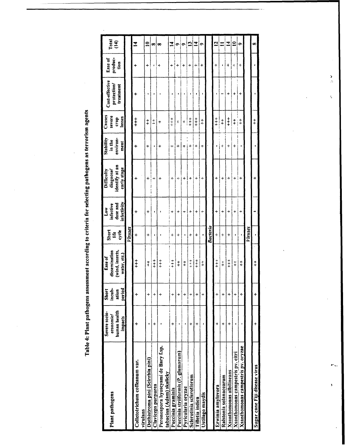Table 4: Plant pathogens assessment according to criteria for selecting pathogens as terrorism agents

| Plant pathogens                                                 | human health<br>Severe socio-<br>economic/<br>impacts | incub-<br>period<br>Short<br>ation | (wind, insects,<br>dissemination<br>water, ctc.)<br>Ease of | Short<br>cycle<br>Ë | infectivity<br>dose and<br>infective<br>Low | identify at an<br>early stage<br>Difficulty<br>diagnose/ | Stability<br>environ-<br>in the<br>ment | Causes<br>severe<br>losses<br>crop | Cost-effective<br>protection/<br>treatment | produc-<br>Ease of<br>tion | Total<br>$\mathbf{f}(\mathbf{t})$ |
|-----------------------------------------------------------------|-------------------------------------------------------|------------------------------------|-------------------------------------------------------------|---------------------|---------------------------------------------|----------------------------------------------------------|-----------------------------------------|------------------------------------|--------------------------------------------|----------------------------|-----------------------------------|
|                                                                 |                                                       |                                    |                                                             | Viruses             |                                             |                                                          |                                         |                                    |                                            |                            |                                   |
| Colletotrichum coffeanum var.<br>virulans                       |                                                       |                                    | $\ddagger$                                                  | +                   |                                             |                                                          |                                         | $\ddagger$                         |                                            |                            | $\overline{a}$                    |
| Dothistroma pini (Scirrhia pini)                                |                                                       | $\ddot{}$                          | $\ddagger$                                                  | +                   | +                                           | 4                                                        | +                                       | $\ddagger$                         | ٠                                          | +                          | $\mathbf{r}$                      |
| Claviceps purpurea                                              |                                                       | $\ddot{}$                          | $\ddagger$                                                  |                     | ٠                                           | $\ddot{\phantom{a}}$<br>+                                | ı                                       | $\pm$                              | ı                                          | ٠                          | ∞                                 |
| Peronospora hyoscyami de Bary f.sp.<br>tabacina (Adam) skalicky |                                                       | +                                  | $\ddagger$                                                  |                     |                                             | ÷                                                        | +                                       | +                                  |                                            | $+$                        | œ                                 |
| Puccinia graminis                                               | +                                                     | $\ddag$                            | $\frac{+}{+}$                                               | +                   | +                                           | ÷                                                        | ÷                                       | $+$                                | ٠                                          | +                          | $\mathbf{I}$                      |
| Puccinia striiformis (P. glumarum)                              |                                                       | +                                  | $\ddagger$                                                  | +                   | +                                           | ÷.                                                       | +                                       | $\ddot{\phantom{1}}$               |                                            | +                          | ۰                                 |
| Pyricularia oryzac                                              |                                                       | ÷                                  | $\ddagger$                                                  | ٠                   | ÷                                           | 4                                                        | ÷                                       | $\vdots$<br>4.                     |                                            | $\ddot{}$                  | ۰                                 |
| Sclerotinia sclerotiorum                                        | +                                                     | $\ddot{}$                          | $+$                                                         | +                   | ÷                                           | +                                                        | 4                                       | $\ddagger$                         |                                            | +                          | n                                 |
| Tilletia indica                                                 |                                                       | $\div$                             | $\frac{1}{1}$                                               | +                   | $\ddot{}$                                   | ÷                                                        | +                                       | $\ddagger$                         |                                            | ÷                          | $\overline{z}$                    |
| Ustilago maydis                                                 |                                                       | 4                                  | $\ddagger$                                                  |                     | ÷                                           | ÷                                                        | 4                                       | $\ddagger$                         | $\blacksquare$                             | +                          | ۰                                 |
|                                                                 |                                                       |                                    |                                                             | Bucteria            |                                             |                                                          |                                         |                                    |                                            |                            |                                   |
| Erwinia amylovora                                               |                                                       | +                                  | $\frac{+}{+}$                                               | $\div$              | +                                           | ÷                                                        | ŧ                                       | $\ddagger$<br>$\frac{1}{1}$        |                                            | +                          | 5                                 |
| Ralstonia solanacearum                                          |                                                       | $\ddot{}$                          | $\ddagger$                                                  | +                   | +                                           | +                                                        | ÷                                       | $\ddagger$                         |                                            | ŧ                          |                                   |
| <b>Xsanthomonas albilineans</b>                                 |                                                       | $\ddag$                            | $\ddagger$                                                  | +                   | $\ddot{}$                                   | $\div$                                                   | $\ddot{}$                               | $\ddagger$                         | +                                          | 4<br>ı                     | $\mathbf{I}$                      |
| Xsanthomonas campestris pv. citri                               |                                                       | $\ddot{}$                          | $\ddagger$                                                  |                     | ÷                                           | ÷                                                        | +                                       | $\ddagger$<br>İ                    | +                                          | ÷                          | $\mathbf{e}$                      |
| Xsanthomonas campestris pv. oryzae                              |                                                       | ÷                                  | $\ddagger$                                                  | $\blacksquare$      | ÷                                           | $\ddot{}$                                                | ŧ                                       | $\ddagger$                         | +                                          | $\ddot{}$                  | ۰                                 |
|                                                                 |                                                       |                                    |                                                             | Viruses             |                                             |                                                          |                                         |                                    |                                            |                            |                                   |
| Sugar cane Fiji disease virus                                   | ÷                                                     | ÷                                  | $\ddagger$                                                  |                     |                                             |                                                          |                                         | $\ddagger$                         |                                            |                            | œ                                 |

 $\frac{2}{3}$  $\ddot{\zeta}$ 

 $\ddot{r}$ .

 $\mathbf{r}$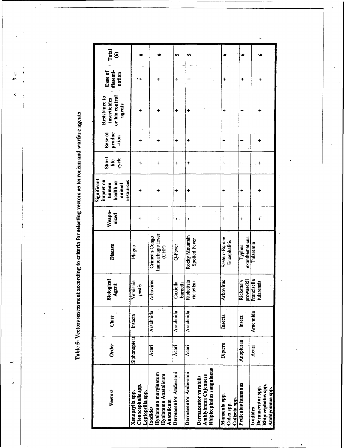Table 5: Vectors assessment according to criteria for selecting vectors as terrorism and warfare agents

 $\ddot{\phantom{a}}$ 

| Order        | Class     | Biological<br>gent<br>₹              | <b>Disease</b>                              | Weapo-<br>nized | Significant<br>impact on<br>health or<br>human<br>animal | Short<br>cycle<br>life | Ease of<br>produc<br>-tion | or bio control<br>Resistance to<br>insecticides<br>agents | dissemi-<br>Ease of<br>nation | Total<br>$\widehat{\mathbf{e}}$ |
|--------------|-----------|--------------------------------------|---------------------------------------------|-----------------|----------------------------------------------------------|------------------------|----------------------------|-----------------------------------------------------------|-------------------------------|---------------------------------|
| Siphonoptera | Insecta   | Yersisnia<br>pestis                  | Plague                                      | +               | resources<br>4                                           | ÷                      | +                          | ┿                                                         | + ،                           | ٠                               |
| <b>Acari</b> | Arachnida | Arbovirus                            | hamorrhagic fever<br>Crimean-Congo<br>(CHF) | $\ddot{}$       |                                                          | +                      | $\ddag$                    |                                                           | +                             | ۰                               |
| <b>Acari</b> | Arachnida | Coxiella                             | $Q$ -Fever                                  | Ϊ,              | $\ddot{}$                                                | $\ddot{}$              | +                          | 4                                                         | ÷                             | U)                              |
| Acari        | Arachnida | burnetti<br>Rickettsia<br>rickettsii | Rocky Mountain<br>Spotted Fever             |                 | +                                                        | $\ddot{}$              | ÷                          | $\ddot{}$                                                 | +                             | ın,                             |
| Diptera      | Insecta   | Arbovirus                            | Eastern Equine<br>Encephalitis              | +               | $\div$                                                   | ÷                      | $\ddot{\phantom{1}}$       | +                                                         | ÷                             | ٠                               |
| Anopluraa    | Insect    | prowasekii<br>Rickettsia             | exanthematicus<br>Typhus                    | +               | +                                                        | +                      | ┿                          | +                                                         | +                             | $\bullet$                       |
| Acari        | Arachnida | Francisella<br>tularensis            | Tularemia                                   |                 |                                                          | +                      |                            |                                                           | ÷                             | ۰                               |

 $\delta$   $\ddot{\circ}$ ¢

 $\sim$ 

 $\frac{1}{2}$ 

 $\ddot{\phantom{0}}$ 

 $\cdot$